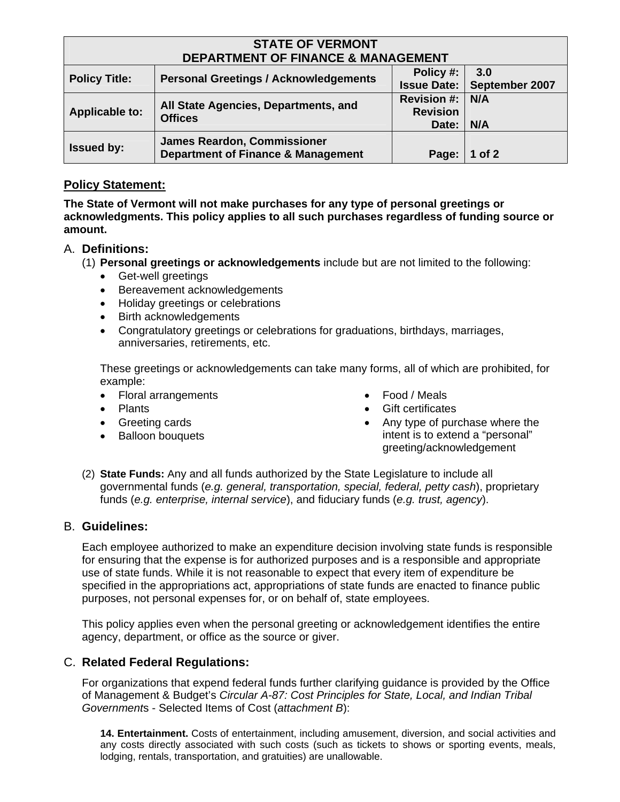| <b>STATE OF VERMONT</b>                       |                                                                                     |                    |                |  |  |
|-----------------------------------------------|-------------------------------------------------------------------------------------|--------------------|----------------|--|--|
| <b>DEPARTMENT OF FINANCE &amp; MANAGEMENT</b> |                                                                                     |                    |                |  |  |
| <b>Policy Title:</b>                          | <b>Personal Greetings / Acknowledgements</b>                                        | Policy #:          | 3.0            |  |  |
|                                               |                                                                                     | <b>Issue Date:</b> | September 2007 |  |  |
| <b>Applicable to:</b>                         | All State Agencies, Departments, and<br><b>Offices</b>                              | <b>Revision #:</b> | N/A            |  |  |
|                                               |                                                                                     | <b>Revision</b>    |                |  |  |
|                                               |                                                                                     | Date:              | N/A            |  |  |
| <b>Issued by:</b>                             | <b>James Reardon, Commissioner</b><br><b>Department of Finance &amp; Management</b> |                    |                |  |  |
|                                               |                                                                                     | Page:              | 1 of 2         |  |  |

## **Policy Statement:**

**The State of Vermont will not make purchases for any type of personal greetings or acknowledgments. This policy applies to all such purchases regardless of funding source or amount.** 

### A. **Definitions:**

- (1) **Personal greetings or acknowledgements** include but are not limited to the following:
	- Get-well greetings
	- Bereavement acknowledgements
	- Holiday greetings or celebrations
	- Birth acknowledgements
	- Congratulatory greetings or celebrations for graduations, birthdays, marriages, anniversaries, retirements, etc.

These greetings or acknowledgements can take many forms, all of which are prohibited, for example:

- Floral arrangements
- Plants
- Greeting cards
- Balloon bouquets
- Food / Meals
- Gift certificates
- Any type of purchase where the intent is to extend a "personal" greeting/acknowledgement
- (2) **State Funds:** Any and all funds authorized by the State Legislature to include all governmental funds (*e.g. general, transportation, special, federal, petty cash*), proprietary funds (*e.g. enterprise, internal service*), and fiduciary funds (*e.g. trust, agency*).

#### B. **Guidelines:**

Each employee authorized to make an expenditure decision involving state funds is responsible for ensuring that the expense is for authorized purposes and is a responsible and appropriate use of state funds. While it is not reasonable to expect that every item of expenditure be specified in the appropriations act, appropriations of state funds are enacted to finance public purposes, not personal expenses for, or on behalf of, state employees.

This policy applies even when the personal greeting or acknowledgement identifies the entire agency, department, or office as the source or giver.

# C. **Related Federal Regulations:**

For organizations that expend federal funds further clarifying guidance is provided by the Office of Management & Budget's *Circular A-87: Cost Principles for State, Local, and Indian Tribal Government*s - Selected Items of Cost (*attachment B*):

**14. Entertainment.** Costs of entertainment, including amusement, diversion, and social activities and any costs directly associated with such costs (such as tickets to shows or sporting events, meals, lodging, rentals, transportation, and gratuities) are unallowable.